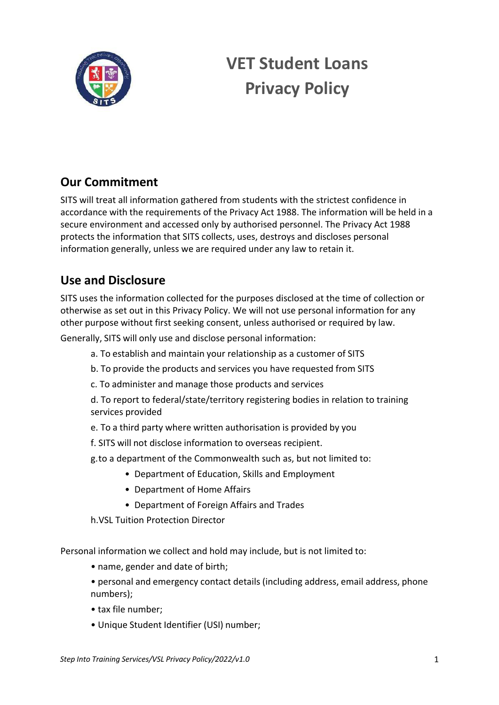

# **VET Student Loans Privacy Policy**

## **Our Commitment**

SITS will treat all information gathered from students with the strictest confidence in accordance with the requirements of the Privacy Act 1988. The information will be held in a secure environment and accessed only by authorised personnel. The Privacy Act 1988 protects the information that SITS collects, uses, destroys and discloses personal information generally, unless we are required under any law to retain it.

### **Use and Disclosure**

SITS uses the information collected for the purposes disclosed at the time of collection or otherwise as set out in this Privacy Policy. We will not use personal information for any other purpose without first seeking consent, unless authorised or required by law.

Generally, SITS will only use and disclose personal information:

- a. To establish and maintain your relationship as a customer of SITS
- b. To provide the products and services you have requested from SITS
- c. To administer and manage those products and services

d. To report to federal/state/territory registering bodies in relation to training services provided

- e. To a third party where written authorisation is provided by you
- f. SITS will not disclose information to overseas recipient.
- g.to a department of the Commonwealth such as, but not limited to:
	- Department of Education, Skills and Employment
	- Department of Home Affairs
	- Department of Foreign Affairs and Trades
- h.VSL Tuition Protection Director

Personal information we collect and hold may include, but is not limited to:

- name, gender and date of birth;
- personal and emergency contact details (including address, email address, phone numbers);
- tax file number;
- Unique Student Identifier (USI) number;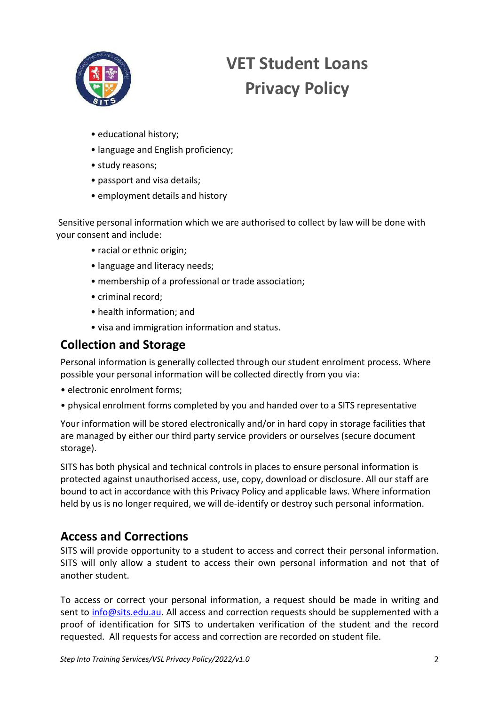

# **VET Student Loans Privacy Policy**

- educational history;
- language and English proficiency;
- study reasons;
- passport and visa details;
- employment details and history

Sensitive personal information which we are authorised to collect by law will be done with your consent and include:

- racial or ethnic origin;
- language and literacy needs;
- membership of a professional or trade association;
- criminal record;
- health information; and
- visa and immigration information and status.

#### **Collection and Storage**

Personal information is generally collected through our student enrolment process. Where possible your personal information will be collected directly from you via:

- electronic enrolment forms;
- physical enrolment forms completed by you and handed over to a SITS representative

Your information will be stored electronically and/or in hard copy in storage facilities that are managed by either our third party service providers or ourselves (secure document storage).

SITS has both physical and technical controls in places to ensure personal information is protected against unauthorised access, use, copy, download or disclosure. All our staff are bound to act in accordance with this Privacy Policy and applicable laws. Where information held by us is no longer required, we will de-identify or destroy such personal information.

### **Access and Corrections**

SITS will provide opportunity to a student to access and correct their personal information. SITS will only allow a student to access their own personal information and not that of another student.

To access or correct your personal information, a request should be made in writing and sent to info@sits.edu.au. All access and correction requests should be supplemented with a proof of identification for SITS to undertaken verification of the student and the record requested. All requests for access and correction are recorded on student file.